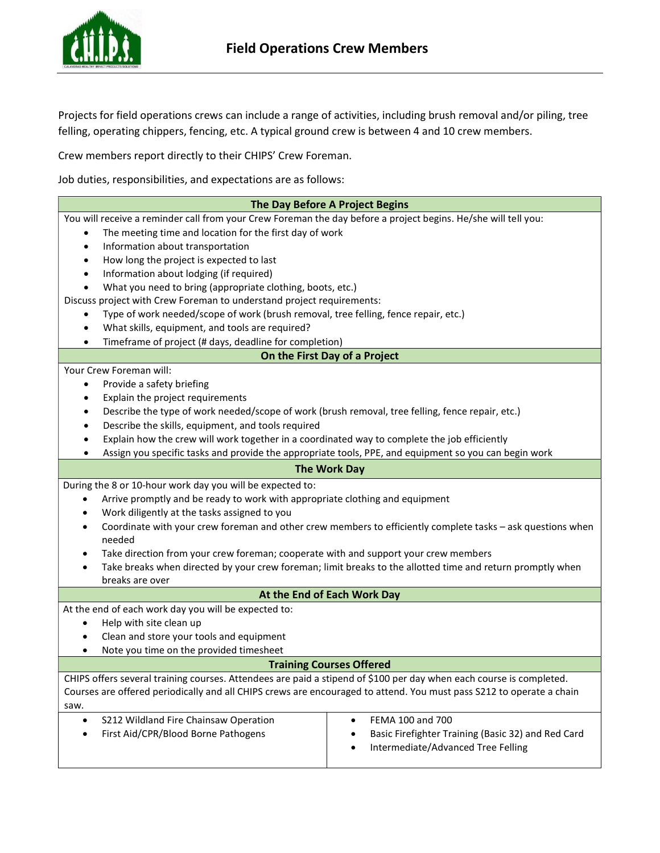

Projects for field operations crews can include a range of activities, including brush removal and/or piling, tree felling, operating chippers, fencing, etc. A typical ground crew is between 4 and 10 crew members.

Crew members report directly to their CHIPS' Crew Foreman.

Job duties, responsibilities, and expectations are as follows:

| The Day Before A Project Begins                                                                                          |                                                    |
|--------------------------------------------------------------------------------------------------------------------------|----------------------------------------------------|
| You will receive a reminder call from your Crew Foreman the day before a project begins. He/she will tell you:           |                                                    |
| The meeting time and location for the first day of work<br>$\bullet$                                                     |                                                    |
| Information about transportation<br>$\bullet$                                                                            |                                                    |
| How long the project is expected to last<br>٠                                                                            |                                                    |
| Information about lodging (if required)<br>٠                                                                             |                                                    |
| What you need to bring (appropriate clothing, boots, etc.)<br>$\bullet$                                                  |                                                    |
| Discuss project with Crew Foreman to understand project requirements:                                                    |                                                    |
| Type of work needed/scope of work (brush removal, tree felling, fence repair, etc.)<br>٠                                 |                                                    |
| What skills, equipment, and tools are required?<br>$\bullet$                                                             |                                                    |
| Timeframe of project (# days, deadline for completion)<br>$\bullet$                                                      |                                                    |
| On the First Day of a Project                                                                                            |                                                    |
| Your Crew Foreman will:                                                                                                  |                                                    |
| Provide a safety briefing<br>$\bullet$                                                                                   |                                                    |
| Explain the project requirements<br>٠                                                                                    |                                                    |
| Describe the type of work needed/scope of work (brush removal, tree felling, fence repair, etc.)<br>٠                    |                                                    |
| Describe the skills, equipment, and tools required<br>٠                                                                  |                                                    |
| Explain how the crew will work together in a coordinated way to complete the job efficiently<br>٠                        |                                                    |
| Assign you specific tasks and provide the appropriate tools, PPE, and equipment so you can begin work<br>٠               |                                                    |
| <b>The Work Day</b>                                                                                                      |                                                    |
| During the 8 or 10-hour work day you will be expected to:                                                                |                                                    |
| Arrive promptly and be ready to work with appropriate clothing and equipment<br>$\bullet$                                |                                                    |
| Work diligently at the tasks assigned to you                                                                             |                                                    |
| Coordinate with your crew foreman and other crew members to efficiently complete tasks - ask questions when<br>$\bullet$ |                                                    |
| needed                                                                                                                   |                                                    |
| Take direction from your crew foreman; cooperate with and support your crew members<br>٠                                 |                                                    |
| Take breaks when directed by your crew foreman; limit breaks to the allotted time and return promptly when<br>$\bullet$  |                                                    |
| breaks are over                                                                                                          |                                                    |
| At the End of Each Work Day                                                                                              |                                                    |
| At the end of each work day you will be expected to:                                                                     |                                                    |
| Help with site clean up                                                                                                  |                                                    |
| Clean and store your tools and equipment<br>٠                                                                            |                                                    |
| Note you time on the provided timesheet<br>٠                                                                             |                                                    |
| <b>Training Courses Offered</b>                                                                                          |                                                    |
| CHIPS offers several training courses. Attendees are paid a stipend of \$100 per day when each course is completed.      |                                                    |
| Courses are offered periodically and all CHIPS crews are encouraged to attend. You must pass S212 to operate a chain     |                                                    |
| saw.                                                                                                                     |                                                    |
| S212 Wildland Fire Chainsaw Operation<br>٠                                                                               | FEMA 100 and 700<br>٠                              |
| First Aid/CPR/Blood Borne Pathogens<br>٠                                                                                 | Basic Firefighter Training (Basic 32) and Red Card |
|                                                                                                                          | Intermediate/Advanced Tree Felling                 |
|                                                                                                                          |                                                    |